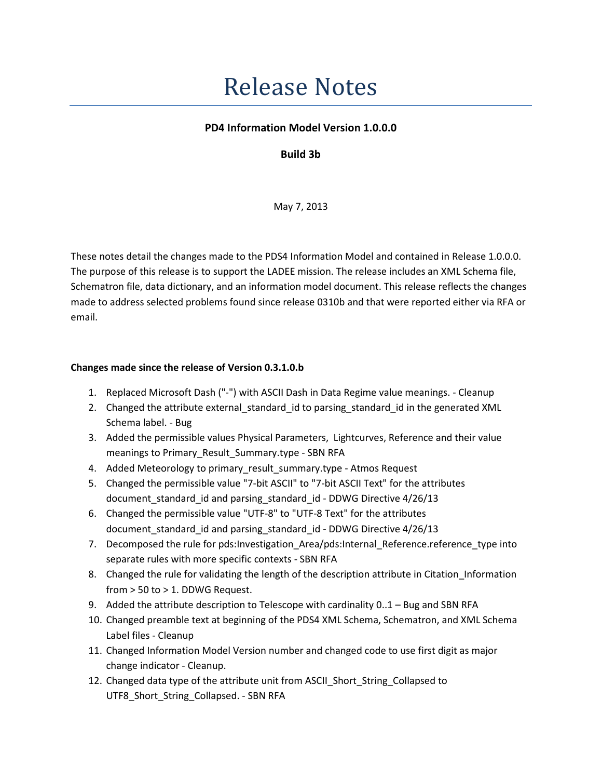## **Release Notes**

## PD4 Information Model Version 1.0.0.0

## Build 3b

May 7, 2013

These notes detail the changes made to the PDS4 Information Model and contained in Release 1.0.0.0. The purpose of this release is to support the LADEE mission. The release includes an XML Schema file, Schematron file, data dictionary, and an information model document. This release reflects the changes made to address selected problems found since release 0310b and that were reported either via RFA or email.

## Changes made since the release of Version 0.3.1.0.b

- 1. Replaced Microsoft Dash ("-") with ASCII Dash in Data Regime value meanings. Cleanup
- 2. Changed the attribute external standard id to parsing standard id in the generated XML Schema label. - Bug
- 3. Added the permissible values Physical Parameters, Lightcurves, Reference and their value meanings to Primary Result Summary.type - SBN RFA
- 4. Added Meteorology to primary result summary.type Atmos Request
- 5. Changed the permissible value "7-bit ASCII" to "7-bit ASCII Text" for the attributes document standard id and parsing standard id - DDWG Directive 4/26/13
- 6. Changed the permissible value "UTF-8" to "UTF-8 Text" for the attributes document\_standard\_id and parsing\_standard\_id - DDWG Directive 4/26/13
- 7. Decomposed the rule for pds:Investigation\_Area/pds:Internal\_Reference.reference\_type into separate rules with more specific contexts - SBN RFA
- 8. Changed the rule for validating the length of the description attribute in Citation Information from > 50 to > 1. DDWG Request.
- 9. Added the attribute description to Telescope with cardinality 0..1 Bug and SBN RFA
- 10. Changed preamble text at beginning of the PDS4 XML Schema, Schematron, and XML Schema Label files - Cleanup
- 11. Changed Information Model Version number and changed code to use first digit as major change indicator - Cleanup.
- 12. Changed data type of the attribute unit from ASCII\_Short\_String\_Collapsed to UTF8\_Short\_String\_Collapsed. - SBN RFA